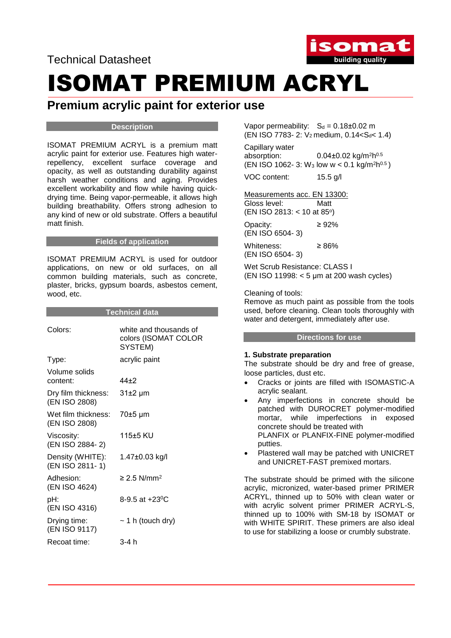Technical Datasheet



## ISOMAT PREMIUM ACRYL

### **Premium acrylic paint for exterior use**

#### **Description**

ISOMAT PREMIUM ACRYL is a premium matt acrylic paint for exterior use. Features high waterrepellency, excellent surface coverage and opacity, as well as outstanding durability against harsh weather conditions and aging. Provides excellent workability and flow while having quickdrying time. Being vapor-permeable, it allows high building breathability. Offers strong adhesion to any kind of new or old substrate. Offers a beautiful matt finish.

#### **Fields of application**

ISOMAT PREMIUM ACRYL is used for outdoor applications, on new or old surfaces, on all common building materials, such as concrete, plaster, bricks, gypsum boards, asbestos cement, wood, etc.

| Technical data                       |                                                           |
|--------------------------------------|-----------------------------------------------------------|
| Colors:                              | white and thousands of<br>colors (ISOMAT COLOR<br>SYSTEM) |
| Type:                                | acrylic paint                                             |
| Volume solids<br>content:            | 44+2                                                      |
| Dry film thickness:<br>(EN ISO 2808) | $31±2 \mu m$                                              |
| Wet film thickness:<br>(EN ISO 2808) | 70±5 µm                                                   |
| Viscosity:<br>(EN ISO 2884-2)        | 115±5 KU                                                  |
| Density (WHITE):<br>(EN ISO 2811-1)  | 1.47±0.03 kg/l                                            |
| Adhesion:<br>(EN ISO 4624)           | $\geq$ 2.5 N/mm <sup>2</sup>                              |
| pH:<br>(EN ISO 4316)                 | 8-9.5 at $+23^{\circ}$ C                                  |
| Drying time:<br>(EN ISO 9117)        | $\sim$ 1 h (touch dry)                                    |
| Recoat time:                         | 3-4 h                                                     |

Vapor permeability:  $S_d = 0.18 \pm 0.02$  m (EN ISO 7783- 2: V<sub>2</sub> medium, 0.14<S<sub>d</sub>< 1.4)

Capillary water absorption:  $0.04\pm0.02$  kg/m<sup>2</sup>h<sup>0.5</sup>  $(EN ISO 1062-3: W<sub>3</sub> low w < 0.1 kg/m<sup>2</sup>h<sup>0.5</sup>)$ 

VOC content: 15.5 g/l

Measurements acc. EN 13300:

Gloss level: Matt (EN ISO 2813: < 10 at 85°)

Opacity:  $\geq 92\%$ 

(EN ISO 6504- 3)

Whiteness: ≥ 86% (EN ISO 6504- 3)

Wet Scrub Resistance: CLASS I (EN ISO 11998: < 5 μm at 200 wash cycles)

Cleaning of tools:

Remove as much paint as possible from the tools used, before cleaning. Clean tools thoroughly with water and detergent, immediately after use.

#### **Directions for use**

#### **1. Substrate preparation**

The substrate should be dry and free of grease, loose particles, dust etc.

- Cracks or joints are filled with ISOMASTIC-A acrylic sealant.
- Any imperfections in concrete should be patched with DUROCRET polymer-modified mortar, while imperfections in exposed concrete should be treated with PLANFIX or PLANFIX-FINE polymer-modified putties.
- Plastered wall may be patched with UNICRET and UNICRET-FAST premixed mortars.

The substrate should be primed with the silicone acrylic, micronized, water-based primer PRIMER ACRYL, thinned up to 50% with clean water or with acrylic solvent primer PRIMER ACRYL-S, thinned up to 100% with SM-18 by ISOMAT or with WHITE SPIRIT. These primers are also ideal to use for stabilizing a loose or crumbly substrate.